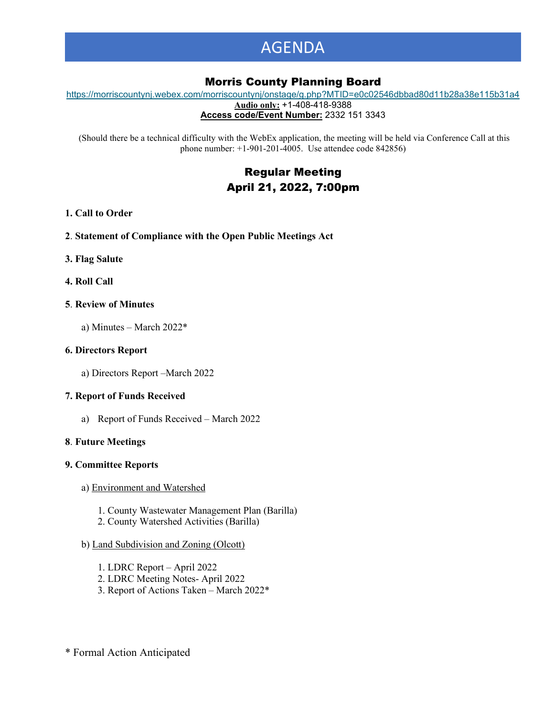# AGENDA

# Morris County Planning Board

[https://morriscountynj.webex.com/morriscountynj/onstage/g.php?MTID=e0c02546dbbad80d11b28a38e115b31a4](https://gcc02.safelinks.protection.outlook.com/?url=https%3A%2F%2Fmorriscountynj.webex.com%2Fmorriscountynj%2Fonstage%2Fg.php%3FMTID%3De0c02546dbbad80d11b28a38e115b31a4&data=04%7C01%7Cvmichelin%40co.morris.nj.us%7C7a96be877c9b49992cb508da1651f7b1%7Cec2ce8c138394008b949e2b17cfa906d%7C0%7C0%7C637846838552242058%7CUnknown%7CTWFpbGZsb3d8eyJWIjoiMC4wLjAwMDAiLCJQIjoiV2luMzIiLCJBTiI6Ik1haWwiLCJXVCI6Mn0%3D%7C1000&sdata=iUkTw0kKnsg5ZP%2F7knrreaeKAovJ%2FH9987p6mD6oFWM%3D&reserved=0) **Audio only:** +1-408-418-9388

**Access code/Event Number:** 2332 151 3343

(Should there be a technical difficulty with the WebEx application, the meeting will be held via Conference Call at this phone number: +1-901-201-4005. Use attendee code 842856)

# Regular Meeting April 21, 2022, 7:00pm

### **1. Call to Order**

- **2**. **Statement of Compliance with the Open Public Meetings Act**
- **3. Flag Salute**
- **4. Roll Call**

#### **5**. **Review of Minutes**

a) Minutes – March 2022\*

### **6. Directors Report**

a) Directors Report –March 2022

# **7. Report of Funds Received**

a) Report of Funds Received – March 2022

#### **8**. **Future Meetings**

#### **9. Committee Reports**

- a) Environment and Watershed
	- 1. County Wastewater Management Plan (Barilla)
	- 2. County Watershed Activities (Barilla)

# b) Land Subdivision and Zoning (Olcott)

- 1. LDRC Report April 2022
- 2. LDRC Meeting Notes- April 2022
- 3. Report of Actions Taken March 2022\*

\* Formal Action Anticipated